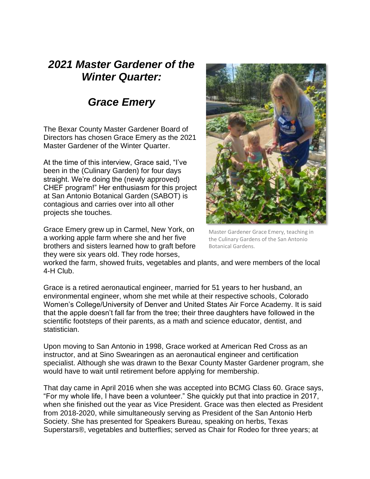## *2021 Master Gardener of the Winter Quarter:*

## *Grace Emery*

The Bexar County Master Gardener Board of Directors has chosen Grace Emery as the 2021 Master Gardener of the Winter Quarter.

At the time of this interview, Grace said, "I've been in the (Culinary Garden) for four days straight. We're doing the (newly approved) CHEF program!" Her enthusiasm for this project at San Antonio Botanical Garden (SABOT) is contagious and carries over into all other projects she touches.

Grace Emery grew up in Carmel, New York, on a working apple farm where she and her five brothers and sisters learned how to graft before they were six years old. They rode horses,



Master Gardener Grace Emery, teaching in the Culinary Gardens of the San Antonio Botanical Gardens.

worked the farm, showed fruits, vegetables and plants, and were members of the local 4-H Club.

Grace is a retired aeronautical engineer, married for 51 years to her husband, an environmental engineer, whom she met while at their respective schools, Colorado Women's College/University of Denver and United States Air Force Academy. It is said that the apple doesn't fall far from the tree; their three daughters have followed in the scientific footsteps of their parents, as a math and science educator, dentist, and statistician.

Upon moving to San Antonio in 1998, Grace worked at American Red Cross as an instructor, and at Sino Swearingen as an aeronautical engineer and certification specialist. Although she was drawn to the Bexar County Master Gardener program, she would have to wait until retirement before applying for membership.

That day came in April 2016 when she was accepted into BCMG Class 60. Grace says, "For my whole life, I have been a volunteer." She quickly put that into practice in 2017, when she finished out the year as Vice President. Grace was then elected as President from 2018-2020, while simultaneously serving as President of the San Antonio Herb Society. She has presented for Speakers Bureau, speaking on herbs, Texas Superstars®, vegetables and butterflies; served as Chair for Rodeo for three years; at